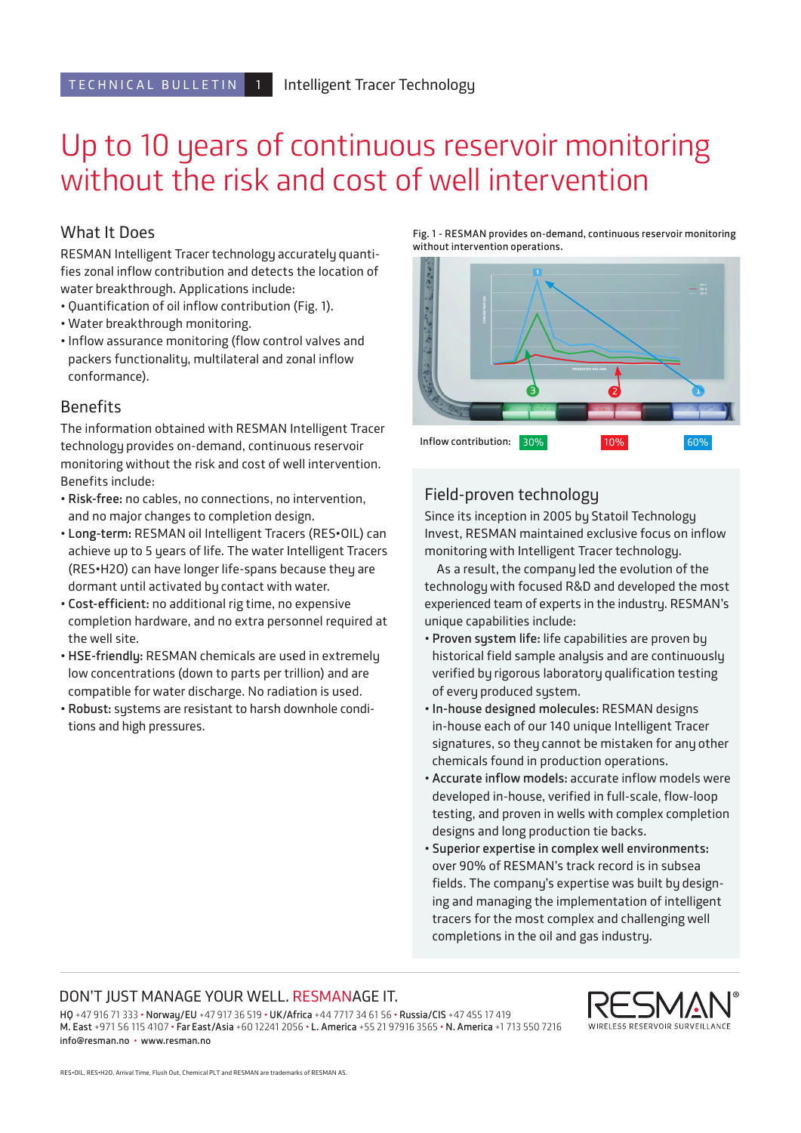# Up to 10 years of continuous reservoir monitoring without the risk and cost of well intervention

## What It Does

RESMAN Intelligent Tracer technology accurately quantifies zonal inflow contribution and detects the location of water breakthrough. Applications include:

- Quantification of oil inflow contribution (Fig. 1).
- Water breakthrough monitoring.
- Inflow assurance monitoring (flow control valves and packers functionality, multilateral and zonal inflow conformance).

### **Benefits**

The information obtained with RESMAN Intelligent Tracer technology provides on-demand, continuous reservoir monitoring without the risk and cost of well intervention. Benefits include:

- **Risk-free:** no cables, no connections, no intervention, and no major changes to completion design.
- **Long-term:** RESMAN oil Intelligent Tracers (RES•OIL) can achieve up to 5 years of life. The water Intelligent Tracers (RES•H2O) can have longer life-spans because they are dormant until activated by contact with water.
- **Cost-efficient:** no additional rig time, no expensive completion hardware, and no extra personnel required at the well site.
- **HSE-friendly:** RESMAN chemicals are used in extremely low concentrations (down to parts per trillion) and are compatible for water discharge. No radiation is used.
- **Robust:** systems are resistant to harsh downhole conditions and high pressures.

**Fig. 1 - RESMAN provides on-demand, continuous reservoir monitoring without intervention operations.**



## Field-proven technology

Since its inception in 2005 by Statoil Technology Invest, RESMAN maintained exclusive focus on inflow monitoring with Intelligent Tracer technology.

As a result, the company led the evolution of the technology with focused R&D and developed the most experienced team of experts in the industry. RESMAN's unique capabilities include:

- **Proven system life:** life capabilities are proven by historical field sample analysis and are continuously verified by rigorous laboratory qualification testing of every produced system.
- **In-house designed molecules:** RESMAN designs in-house each of our 140 unique Intelligent Tracer signatures, so they cannot be mistaken for any other chemicals found in production operations.
- **Accurate inflow models:** accurate inflow models were developed in-house, verified in full-scale, flow-loop testing, and proven in wells with complex completion designs and long production tie backs.
- **Superior expertise in complex well environments:** over 90% of RESMAN's track record is in subsea fields. The company's expertise was built by designing and managing the implementation of intelligent tracers for the most complex and challenging well completions in the oil and gas industry.

#### DON'T JUST MANAGE YOUR WELL. RESMANAGE IT.

**HQ** +47 916 71 333 • **Norway/EU** +47 917 36 519 • **UK/Africa** +44 7717 34 61 56 • **Russia/CIS** +47 455 17 419 **M. East** +971 56 115 4107 • **Far East/Asia** +60 12241 2056 • **L. America** +55 21 97916 3565 • **N. America** +1 713 550 7216 **info@resman.no** • **www.resman.no**